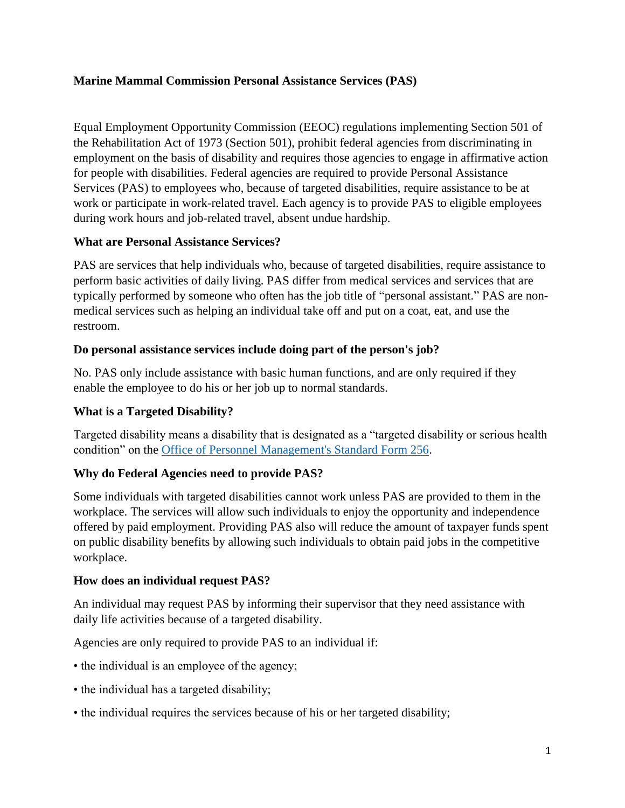# **Marine Mammal Commission Personal Assistance Services (PAS)**

Equal Employment Opportunity Commission (EEOC) regulations implementing Section 501 of the Rehabilitation Act of 1973 (Section 501), prohibit federal agencies from discriminating in employment on the basis of disability and requires those agencies to engage in affirmative action for people with disabilities. Federal agencies are required to provide Personal Assistance Services (PAS) to employees who, because of targeted disabilities, require assistance to be at work or participate in work-related travel. Each agency is to provide PAS to eligible employees during work hours and job-related travel, absent undue hardship.

## **What are Personal Assistance Services?**

PAS are services that help individuals who, because of targeted disabilities, require assistance to perform basic activities of daily living. PAS differ from medical services and services that are typically performed by someone who often has the job title of "personal assistant." PAS are nonmedical services such as helping an individual take off and put on a coat, eat, and use the restroom.

#### **Do personal assistance services include doing part of the person's job?**

No. PAS only include assistance with basic human functions, and are only required if they enable the employee to do his or her job up to normal standards.

## **What is a Targeted Disability?**

Targeted disability means a disability that is designated as a "targeted disability or serious health condition" on the [Office of Personnel Management's Standard Form 256.](https://www.opm.gov/forms/pdf_fill/sf256.pdf)

## **Why do Federal Agencies need to provide PAS?**

Some individuals with targeted disabilities cannot work unless PAS are provided to them in the workplace. The services will allow such individuals to enjoy the opportunity and independence offered by paid employment. Providing PAS also will reduce the amount of taxpayer funds spent on public disability benefits by allowing such individuals to obtain paid jobs in the competitive workplace.

#### **How does an individual request PAS?**

An individual may request PAS by informing their supervisor that they need assistance with daily life activities because of a targeted disability.

Agencies are only required to provide PAS to an individual if:

- the individual is an employee of the agency;
- the individual has a targeted disability;
- the individual requires the services because of his or her targeted disability;